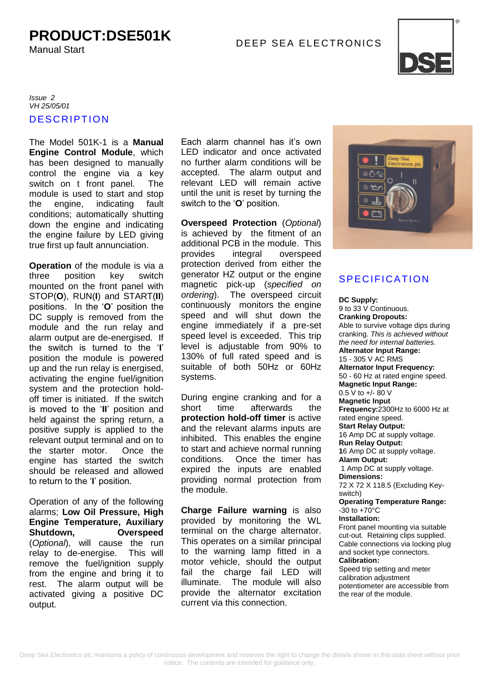# DEEP SEA ELE CTRONICS **PRODUCT:DSE501K**

Manual Start



### **DESCRIPTION** *Issue 2 VH 25/05/01*

The Model 501K-1 is a **Manual Engine Control Module**, which has been designed to manually control the engine via a key switch on t front panel. The module is used to start and stop the engine, indicating fault conditions; automatically shutting down the engine and indicating the engine failure by LED giving true first up fault annunciation.

**Operation** of the module is via a three position key switch mounted on the front panel with STOP(**O**), RUN(**I**) and START(**II**) positions. In the '**O**' position the DC supply is removed from the module and the run relay and alarm output are de-energised. If the switch is turned to the '**I**' position the module is powered up and the run relay is energised, activating the engine fuel/ignition system and the protection holdoff timer is initiated. If the switch is moved to the '**II**' position and held against the spring return, a positive supply is applied to the relevant output terminal and on to the starter motor. Once the engine has started the switch should be released and allowed to return to the '**I**' position.

Operation of any of the following alarms; **Low Oil Pressure, High Engine Temperature, Auxiliary Shutdown, Overspeed**  (*Optional*), will cause the run relay to de-energise. This will remove the fuel/ignition supply from the engine and bring it to rest. The alarm output will be activated giving a positive DC output.

Each alarm channel has it's own LED indicator and once activated no further alarm conditions will be accepted. The alarm output and relevant LED will remain active until the unit is reset by turning the switch to the '**O**' position.

**Overspeed Protection** (*Optional*) is achieved by the fitment of an additional PCB in the module. This provides integral overspeed protection derived from either the generator HZ output or the engine magnetic pick-up (*specified on ordering*). The overspeed circuit continuously monitors the engine speed and will shut down the engine immediately if a pre-set speed level is exceeded. This trip level is adjustable from 90% to 130% of full rated speed and is suitable of both 50Hz or 60Hz systems.

During engine cranking and for a short time afterwards the **protection hold-off timer** is active and the relevant alarms inputs are inhibited. This enables the engine to start and achieve normal running conditions. Once the timer has expired the inputs are enabled providing normal protection from the module.

**Charge Failure warning** is also provided by monitoring the WL terminal on the charge alternator. This operates on a similar principal to the warning lamp fitted in a motor vehicle, should the output fail the charge fail LED will illuminate. The module will also provide the alternator excitation current via this connection.



## **SPECIFICATION**

**DC Supply:** 9 to 33 V Continuous. **Cranking Dropouts:** Able to survive voltage dips during cranking. *This is achieved without the need for internal batteries.* **Alternator Input Range:** 15 - 305 V AC RMS **Alternator Input Frequency:** 50 - 60 Hz at rated engine speed. **Magnetic Input Range:** 0.5 V to +/- 80 V **Magnetic Input Frequency:**2300Hz to 6000 Hz at rated engine speed. **Start Relay Output:** 16 Amp DC at supply voltage. **Run Relay Output: 1**6 Amp DC at supply voltage. **Alarm Output:** 1 Amp DC at supply voltage. **Dimensions:** 72 X 72 X 118.5 (Excluding Keyswitch) **Operating Temperature Range:**  $-30$  to  $+70^{\circ}$ C **Installation:** Front panel mounting via suitable cut-out. Retaining clips supplied. Cable connections via locking plug and socket type connectors.

#### **Calibration:**

Speed trip setting and meter calibration adjustment potentiometer are accessible from the rear of the module.